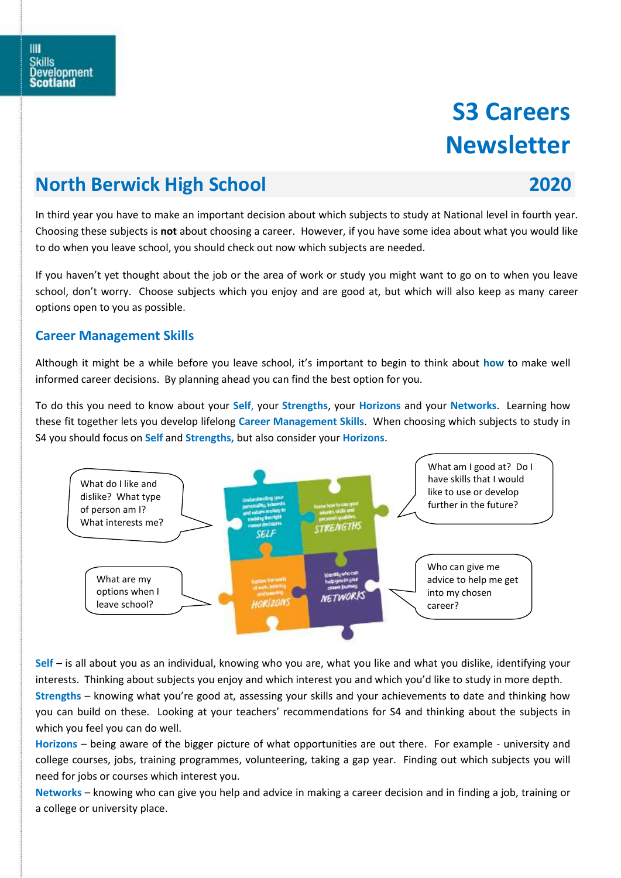# **S3 Careers Newsletter**

## **North Berwick High School 2020**

In third year you have to make an important decision about which subjects to study at National level in fourth year. Choosing these subjects is **not** about choosing a career. However, if you have some idea about what you would like to do when you leave school, you should check out now which subjects are needed.

If you haven't yet thought about the job or the area of work or study you might want to go on to when you leave school, don't worry. Choose subjects which you enjoy and are good at, but which will also keep as many career options open to you as possible.

### **Career Management Skills**

Although it might be a while before you leave school, it's important to begin to think about **how** to make well informed career decisions. By planning ahead you can find the best option for you.

To do this you need to know about your **Self**, your **Strengths**, your **Horizons** and your **Networks**. Learning how these fit together lets you develop lifelong **Career Management Skills**. When choosing which subjects to study in S4 you should focus on **Self** and **Strengths,** but also consider your **Horizons**.



**Self** – is all about you as an individual, knowing who you are, what you like and what you dislike, identifying your interests. Thinking about subjects you enjoy and which interest you and which you'd like to study in more depth.

**Strengths** – knowing what you're good at, assessing your skills and your achievements to date and thinking how you can build on these. Looking at your teachers' recommendations for S4 and thinking about the subjects in which you feel you can do well.

**Horizons** – being aware of the bigger picture of what opportunities are out there. For example - university and college courses, jobs, training programmes, volunteering, taking a gap year. Finding out which subjects you will need for jobs or courses which interest you.

**Networks** – knowing who can give you help and advice in making a career decision and in finding a job, training or a college or university place.